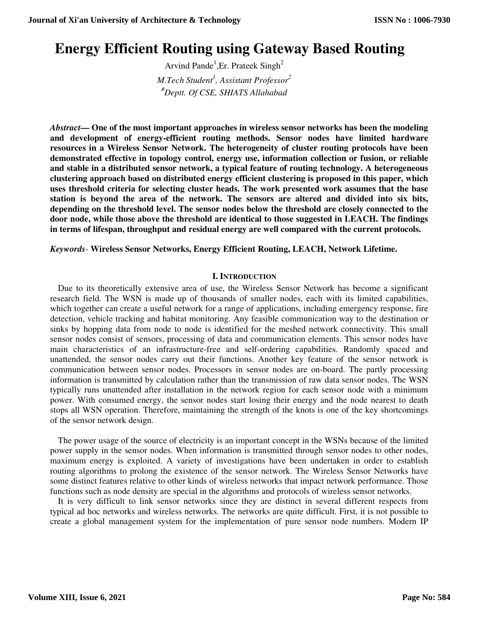# **Energy Efficient Routing using Gateway Based Routing**

Arvind Pande<sup>1</sup>, Er. Prateek Singh<sup>2</sup> *M.Tech Student<sup>1</sup> , Assistant Professor<sup>2</sup> #Deptt. Of CSE, SHIATS Allahabad* 

*Abstract***— One of the most important approaches in wireless sensor networks has been the modeling and development of energy-efficient routing methods. Sensor nodes have limited hardware resources in a Wireless Sensor Network. The heterogeneity of cluster routing protocols have been demonstrated effective in topology control, energy use, information collection or fusion, or reliable and stable in a distributed sensor network, a typical feature of routing technology. A heterogeneous clustering approach based on distributed energy efficient clustering is proposed in this paper, which uses threshold criteria for selecting cluster heads. The work presented work assumes that the base station is beyond the area of the network. The sensors are altered and divided into six bits, depending on the threshold level. The sensor nodes below the threshold are closely connected to the door node, while those above the threshold are identical to those suggested in LEACH. The findings in terms of lifespan, throughput and residual energy are well compared with the current protocols.** 

*Keywords*- **Wireless Sensor Networks, Energy Efficient Routing, LEACH, Network Lifetime.** 

### **I. INTRODUCTION**

Due to its theoretically extensive area of use, the Wireless Sensor Network has become a significant research field. The WSN is made up of thousands of smaller nodes, each with its limited capabilities, which together can create a useful network for a range of applications, including emergency response, fire detection, vehicle tracking and habitat monitoring. Any feasible communication way to the destination or sinks by hopping data from node to node is identified for the meshed network connectivity. This small sensor nodes consist of sensors, processing of data and communication elements. This sensor nodes have main characteristics of an infrastructure-free and self-ordering capabilities. Randomly spaced and unattended, the sensor nodes carry out their functions. Another key feature of the sensor network is communication between sensor nodes. Processors in sensor nodes are on-board. The partly processing information is transmitted by calculation rather than the transmission of raw data sensor nodes. The WSN typically runs unattended after installation in the network region for each sensor node with a minimum power. With consumed energy, the sensor nodes start losing their energy and the node nearest to death stops all WSN operation. Therefore, maintaining the strength of the knots is one of the key shortcomings of the sensor network design.

The power usage of the source of electricity is an important concept in the WSNs because of the limited power supply in the sensor nodes. When information is transmitted through sensor nodes to other nodes, maximum energy is exploited. A variety of investigations have been undertaken in order to establish routing algorithms to prolong the existence of the sensor network. The Wireless Sensor Networks have some distinct features relative to other kinds of wireless networks that impact network performance. Those functions such as node density are special in the algorithms and protocols of wireless sensor networks.

It is very difficult to link sensor networks since they are distinct in several different respects from typical ad hoc networks and wireless networks. The networks are quite difficult. First, it is not possible to create a global management system for the implementation of pure sensor node numbers. Modern IP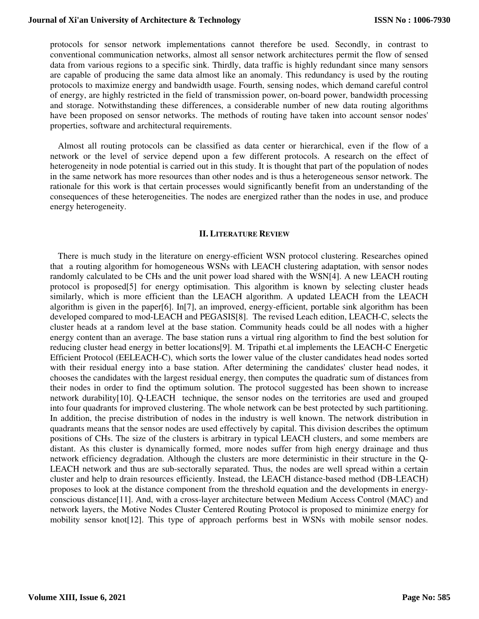protocols for sensor network implementations cannot therefore be used. Secondly, in contrast to conventional communication networks, almost all sensor network architectures permit the flow of sensed data from various regions to a specific sink. Thirdly, data traffic is highly redundant since many sensors are capable of producing the same data almost like an anomaly. This redundancy is used by the routing protocols to maximize energy and bandwidth usage. Fourth, sensing nodes, which demand careful control of energy, are highly restricted in the field of transmission power, on-board power, bandwidth processing and storage. Notwithstanding these differences, a considerable number of new data routing algorithms have been proposed on sensor networks. The methods of routing have taken into account sensor nodes' properties, software and architectural requirements.

Almost all routing protocols can be classified as data center or hierarchical, even if the flow of a network or the level of service depend upon a few different protocols. A research on the effect of heterogeneity in node potential is carried out in this study. It is thought that part of the population of nodes in the same network has more resources than other nodes and is thus a heterogeneous sensor network. The rationale for this work is that certain processes would significantly benefit from an understanding of the consequences of these heterogeneities. The nodes are energized rather than the nodes in use, and produce energy heterogeneity.

#### **II. LITERATURE REVIEW**

There is much study in the literature on energy-efficient WSN protocol clustering. Researches opined that a routing algorithm for homogeneous WSNs with LEACH clustering adaptation, with sensor nodes randomly calculated to be CHs and the unit power load shared with the WSN[4]. A new LEACH routing protocol is proposed[5] for energy optimisation. This algorithm is known by selecting cluster heads similarly, which is more efficient than the LEACH algorithm. A updated LEACH from the LEACH algorithm is given in the paper[6]. In[7], an improved, energy-efficient, portable sink algorithm has been developed compared to mod-LEACH and PEGASIS[8]. The revised Leach edition, LEACH-C, selects the cluster heads at a random level at the base station. Community heads could be all nodes with a higher energy content than an average. The base station runs a virtual ring algorithm to find the best solution for reducing cluster head energy in better locations[9]. M. Tripathi et.al implements the LEACH-C Energetic Efficient Protocol (EELEACH-C), which sorts the lower value of the cluster candidates head nodes sorted with their residual energy into a base station. After determining the candidates' cluster head nodes, it chooses the candidates with the largest residual energy, then computes the quadratic sum of distances from their nodes in order to find the optimum solution. The protocol suggested has been shown to increase network durability[10]. Q-LEACH technique, the sensor nodes on the territories are used and grouped into four quadrants for improved clustering. The whole network can be best protected by such partitioning. In addition, the precise distribution of nodes in the industry is well known. The network distribution in quadrants means that the sensor nodes are used effectively by capital. This division describes the optimum positions of CHs. The size of the clusters is arbitrary in typical LEACH clusters, and some members are distant. As this cluster is dynamically formed, more nodes suffer from high energy drainage and thus network efficiency degradation. Although the clusters are more deterministic in their structure in the Q-LEACH network and thus are sub-sectorally separated. Thus, the nodes are well spread within a certain cluster and help to drain resources efficiently. Instead, the LEACH distance-based method (DB-LEACH) proposes to look at the distance component from the threshold equation and the developments in energyconscious distance[11]. And, with a cross-layer architecture between Medium Access Control (MAC) and network layers, the Motive Nodes Cluster Centered Routing Protocol is proposed to minimize energy for mobility sensor knot[12]. This type of approach performs best in WSNs with mobile sensor nodes.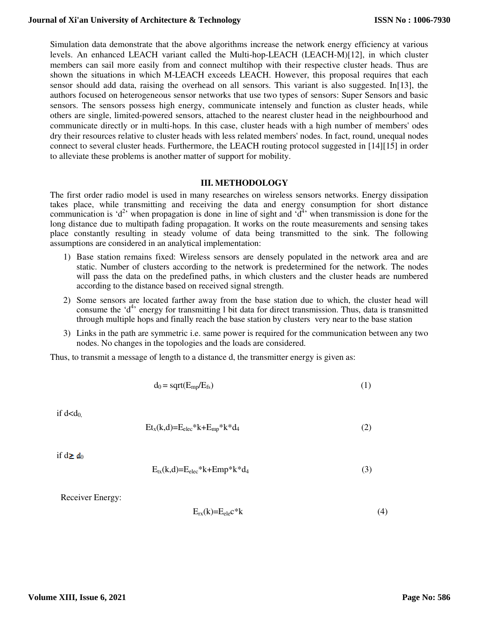Simulation data demonstrate that the above algorithms increase the network energy efficiency at various levels. An enhanced LEACH variant called the Multi-hop-LEACH (LEACH-M)[12], in which cluster members can sail more easily from and connect multihop with their respective cluster heads. Thus are shown the situations in which M-LEACH exceeds LEACH. However, this proposal requires that each sensor should add data, raising the overhead on all sensors. This variant is also suggested. In[13], the authors focused on heterogeneous sensor networks that use two types of sensors: Super Sensors and basic sensors. The sensors possess high energy, communicate intensely and function as cluster heads, while others are single, limited-powered sensors, attached to the nearest cluster head in the neighbourhood and communicate directly or in multi-hops. In this case, cluster heads with a high number of members' odes dry their resources relative to cluster heads with less related members' nodes. In fact, round, unequal nodes connect to several cluster heads. Furthermore, the LEACH routing protocol suggested in [14][15] in order to alleviate these problems is another matter of support for mobility.

#### **III. METHODOLOGY**

The first order radio model is used in many researches on wireless sensors networks. Energy dissipation takes place, while transmitting and receiving the data and energy consumption for short distance communication is 'd<sup>2</sup>' when propagation is done in line of sight and 'd<sup>4</sup>' when transmission is done for the long distance due to multipath fading propagation. It works on the route measurements and sensing takes place constantly resulting in steady volume of data being transmitted to the sink. The following assumptions are considered in an analytical implementation:

- 1) Base station remains fixed: Wireless sensors are densely populated in the network area and are static. Number of clusters according to the network is predetermined for the network. The nodes will pass the data on the predefined paths, in which clusters and the cluster heads are numbered according to the distance based on received signal strength.
- 2) Some sensors are located farther away from the base station due to which, the cluster head will consume the ' $d^4$ ' energy for transmitting 1 bit data for direct transmission. Thus, data is transmitted through multiple hops and finally reach the base station by clusters very near to the base station
- 3) Links in the path are symmetric i.e. same power is required for the communication between any two nodes. No changes in the topologies and the loads are considered.

Thus, to transmit a message of length to a distance d, the transmitter energy is given as:

$$
d_0 = sqrt(E_{mp}/E_{fs})
$$
 (1)

if  $d < d_0$ .

$$
Et_x(k,d)=E_{elec}*k+E_{mp}*k*d_4
$$
 (2)

if  $d \geq d_0$ 

$$
E_{tx}(k,d)=E_{elec} *k+Emp* k*d_4
$$
\n(3)

Receiver Energy:

$$
E_{rx}(k)=E_{ele}c^*k
$$
 (4)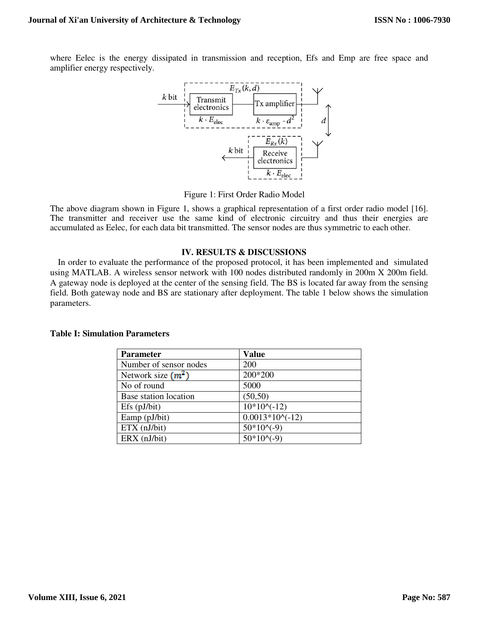where Eelec is the energy dissipated in transmission and reception, Efs and Emp are free space and amplifier energy respectively.



Figure 1: First Order Radio Model

The above diagram shown in Figure 1, shows a graphical representation of a first order radio model [16]. The transmitter and receiver use the same kind of electronic circuitry and thus their energies are accumulated as Eelec, for each data bit transmitted. The sensor nodes are thus symmetric to each other.

#### **IV. RESULTS & DISCUSSIONS**

In order to evaluate the performance of the proposed protocol, it has been implemented and simulated using MATLAB. A wireless sensor network with 100 nodes distributed randomly in 200m X 200m field. A gateway node is deployed at the center of the sensing field. The BS is located far away from the sensing field. Both gateway node and BS are stationary after deployment. The table 1 below shows the simulation parameters.

| <b>Parameter</b>       | <b>Value</b>      |
|------------------------|-------------------|
| Number of sensor nodes | 200               |
| Network size $(m^2)$   | 200*200           |
| No of round            | 5000              |
| Base station location  | (50, 50)          |
| $Efs$ ( $pJ/bit$ )     | $10*10^(-12)$     |
| Eamp (pJ/bit)          | $0.0013*10^(-12)$ |
| ETX (nJ/bit)           | $50*10^(-9)$      |
| ERX (nJ/bit)           | $50*10^(-9)$      |

#### **Table I: Simulation Parameters**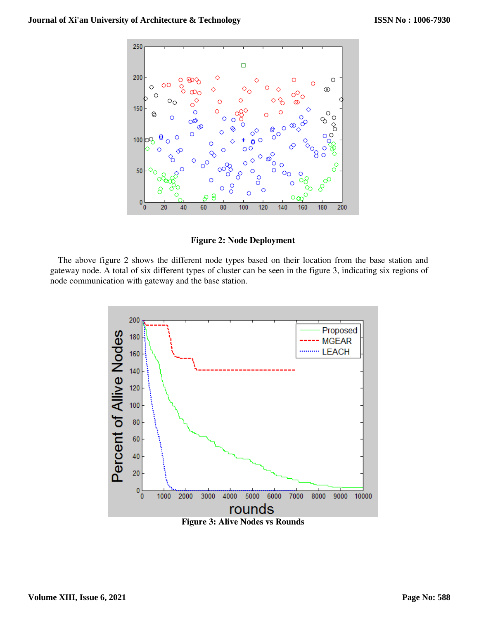

**Figure 2: Node Deployment** 

The above figure 2 shows the different node types based on their location from the base station and gateway node. A total of six different types of cluster can be seen in the figure 3, indicating six regions of node communication with gateway and the base station.

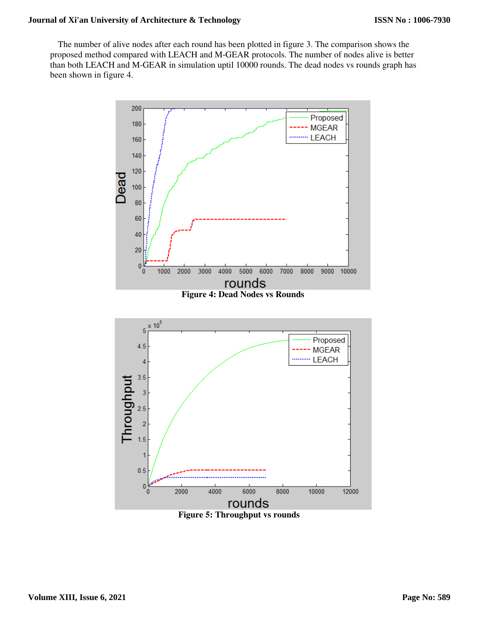The number of alive nodes after each round has been plotted in figure 3. The comparison shows the proposed method compared with LEACH and M-GEAR protocols. The number of nodes alive is better than both LEACH and M-GEAR in simulation uptil 10000 rounds. The dead nodes vs rounds graph has been shown in figure 4.



**Figure 5: Throughput vs rounds**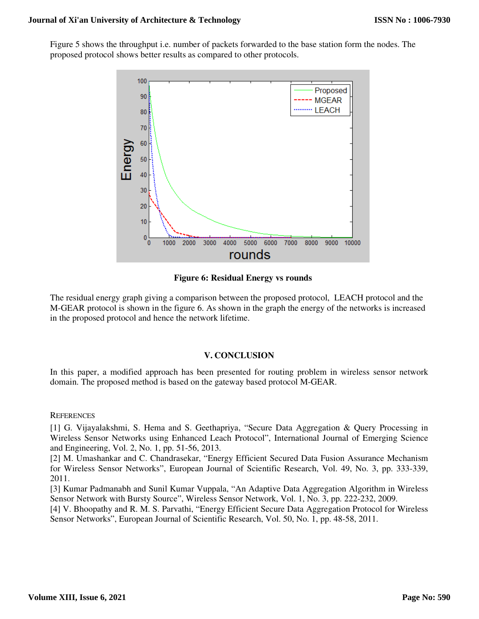Figure 5 shows the throughput i.e. number of packets forwarded to the base station form the nodes. The proposed protocol shows better results as compared to other protocols.



**Figure 6: Residual Energy vs rounds** 

The residual energy graph giving a comparison between the proposed protocol, LEACH protocol and the M-GEAR protocol is shown in the figure 6. As shown in the graph the energy of the networks is increased in the proposed protocol and hence the network lifetime.

# **V. CONCLUSION**

In this paper, a modified approach has been presented for routing problem in wireless sensor network domain. The proposed method is based on the gateway based protocol M-GEAR.

# **REFERENCES**

[1] G. Vijayalakshmi, S. Hema and S. Geethapriya, "Secure Data Aggregation & Query Processing in Wireless Sensor Networks using Enhanced Leach Protocol", International Journal of Emerging Science and Engineering, Vol. 2, No. 1, pp. 51-56, 2013.

[2] M. Umashankar and C. Chandrasekar, "Energy Efficient Secured Data Fusion Assurance Mechanism for Wireless Sensor Networks", European Journal of Scientific Research, Vol. 49, No. 3, pp. 333-339, 2011.

[3] Kumar Padmanabh and Sunil Kumar Vuppala, "An Adaptive Data Aggregation Algorithm in Wireless Sensor Network with Bursty Source", Wireless Sensor Network, Vol. 1, No. 3, pp. 222-232, 2009.

[4] V. Bhoopathy and R. M. S. Parvathi, "Energy Efficient Secure Data Aggregation Protocol for Wireless Sensor Networks", European Journal of Scientific Research, Vol. 50, No. 1, pp. 48-58, 2011.